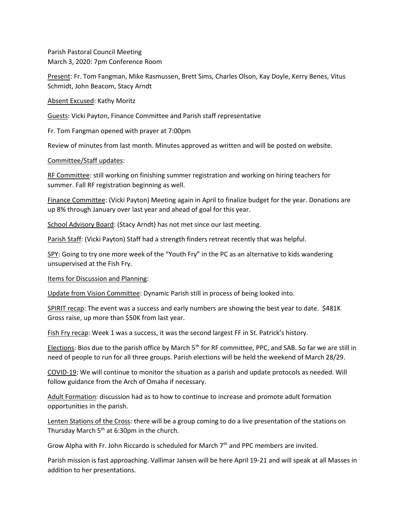Parish Pastoral Council Meeting March 3, 2020: 7pm Conference Room

Present: Fr. Tom Fangman, Mike Rasmussen, Brett Sims, Charles Olson, Kay Doyle, Kerry Benes, Vitus Schmidt, John Beacom, Stacy Arndt

Absent Excused: Kathy Moritz

Guests: Vicki Payton, Finance Committee and Parish staff representative

Fr. Tom Fangman opened with prayer at 7:00pm

Review of minutes from last month. Minutes approved as written and will be posted on website.

## Committee/Staff updates:

RF Committee: still working on finishing summer registration and working on hiring teachers for summer. Fall RF registration beginning as well.

Finance Committee: (Vicki Payton) Meeting again in April to finalize budget for the year. Donations are up 8% through January over last year and ahead of goal for this year.

School Advisory Board: (Stacy Arndt) has not met since our last meeting.

Parish Staff: (Vicki Payton) Staff had a strength finders retreat recently that was helpful.

SPY: Going to try one more week of the "Youth Fry" in the PC as an alternative to kids wandering unsupervised at the Fish Fry.

Items for Discussion and Planning:

Update from Vision Committee: Dynamic Parish still in process of being looked into.

SPIRIT recap: The event was a success and early numbers are showing the best year to date. \$481K Gross raise, up more than \$50K from last year.

Fish Fry recap: Week 1 was a success, it was the second largest FF in St. Patrick's history.

Elections: Bios due to the parish office by March 5<sup>th</sup> for RF committee, PPC, and SAB. So far we are still in need of people to run for all three groups. Parish elections will be held the weekend of March 28/29.

COVID-19: We will continue to monitor the situation as a parish and update protocols as needed. Will follow guidance from the Arch of Omaha if necessary.

Adult Formation: discussion had as to how to continue to increase and promote adult formation opportunities in the parish.

Lenten Stations of the Cross: there will be a group coming to do a live presentation of the stations on Thursday March  $5<sup>th</sup>$  at 6:30pm in the church.

Grow Alpha with Fr. John Riccardo is scheduled for March 7th and PPC members are invited.

Parish mission is fast approaching. Vallimar Jansen will be here April 19-21 and will speak at all Masses in addition to her presentations.